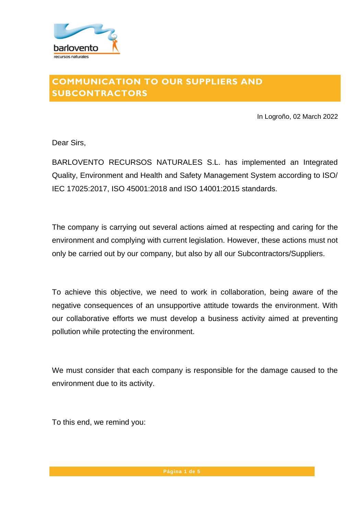

## **COMMUNICATION TO OUR SUPPLIERS AND SUBCONTRACTORS**

In Logroño, 02 March 2022

Dear Sirs,

BARLOVENTO RECURSOS NATURALES S.L. has implemented an Integrated Quality, Environment and Health and Safety Management System according to ISO/ IEC 17025:2017, ISO 45001:2018 and ISO 14001:2015 standards.

The company is carrying out several actions aimed at respecting and caring for the environment and complying with current legislation. However, these actions must not only be carried out by our company, but also by all our Subcontractors/Suppliers.

To achieve this objective, we need to work in collaboration, being aware of the negative consequences of an unsupportive attitude towards the environment. With our collaborative efforts we must develop a business activity aimed at preventing pollution while protecting the environment.

We must consider that each company is responsible for the damage caused to the environment due to its activity.

To this end, we remind you: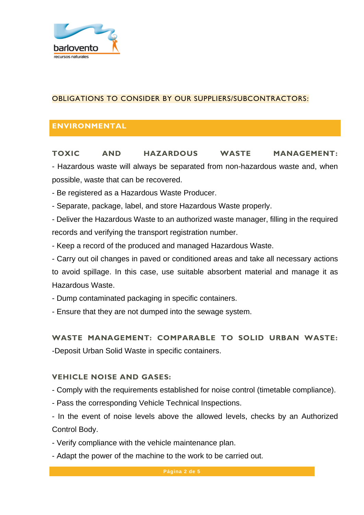

## OBLIGATIONS TO CONSIDER BY OUR SUPPLIERS/SUBCONTRACTORS:

## **ENVIRONMENTAL**

**TOXIC AND HAZARDOUS WASTE MANAGEMENT:** - Hazardous waste will always be separated from non-hazardous waste and, when possible, waste that can be recovered.

- Be registered as a Hazardous Waste Producer.

- Separate, package, label, and store Hazardous Waste properly.

- Deliver the Hazardous Waste to an authorized waste manager, filling in the required records and verifying the transport registration number.

- Keep a record of the produced and managed Hazardous Waste.

- Carry out oil changes in paved or conditioned areas and take all necessary actions to avoid spillage. In this case, use suitable absorbent material and manage it as Hazardous Waste.

- Dump contaminated packaging in specific containers.

- Ensure that they are not dumped into the sewage system.

**WASTE MANAGEMENT: COMPARABLE TO SOLID URBAN WASTE:** -Deposit Urban Solid Waste in specific containers.

#### **VEHICLE NOISE AND GASES:**

- Comply with the requirements established for noise control (timetable compliance).

- Pass the corresponding Vehicle Technical Inspections.

- In the event of noise levels above the allowed levels, checks by an Authorized Control Body.

- Verify compliance with the vehicle maintenance plan.

- Adapt the power of the machine to the work to be carried out.

**Página 2 de 5**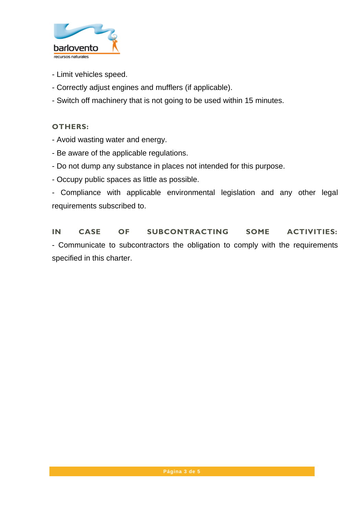

- Limit vehicles speed.
- Correctly adjust engines and mufflers (if applicable).
- Switch off machinery that is not going to be used within 15 minutes.

#### **OTHERS:**

- Avoid wasting water and energy.
- Be aware of the applicable regulations.
- Do not dump any substance in places not intended for this purpose.
- Occupy public spaces as little as possible.

- Compliance with applicable environmental legislation and any other legal requirements subscribed to.

**IN CASE OF SUBCONTRACTING SOME ACTIVITIES:** - Communicate to subcontractors the obligation to comply with the requirements specified in this charter.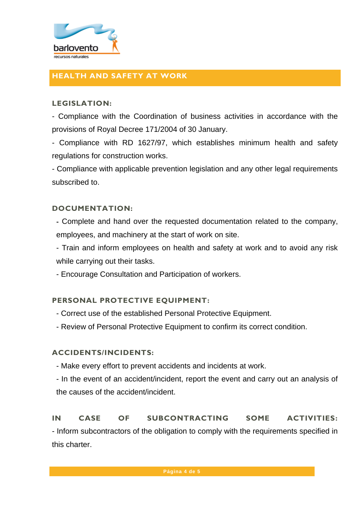

## **HEALTH AND SAFETY AT WORK**

#### **LEGISLATION:**

- Compliance with the Coordination of business activities in accordance with the provisions of Royal Decree 171/2004 of 30 January.

- Compliance with RD 1627/97, which establishes minimum health and safety regulations for construction works.

- Compliance with applicable prevention legislation and any other legal requirements subscribed to.

#### **DOCUMENTATION:**

- Complete and hand over the requested documentation related to the company, employees, and machinery at the start of work on site.

- Train and inform employees on health and safety at work and to avoid any risk while carrying out their tasks.

- Encourage Consultation and Participation of workers.

#### **PERSONAL PROTECTIVE EQUIPMENT:**

- Correct use of the established Personal Protective Equipment.
- Review of Personal Protective Equipment to confirm its correct condition.

#### **ACCIDENTS/INCIDENTS:**

- Make every effort to prevent accidents and incidents at work.
- In the event of an accident/incident, report the event and carry out an analysis of the causes of the accident/incident.

# **IN CASE OF SUBCONTRACTING SOME ACTIVITIES:**

- Inform subcontractors of the obligation to comply with the requirements specified in this charter.